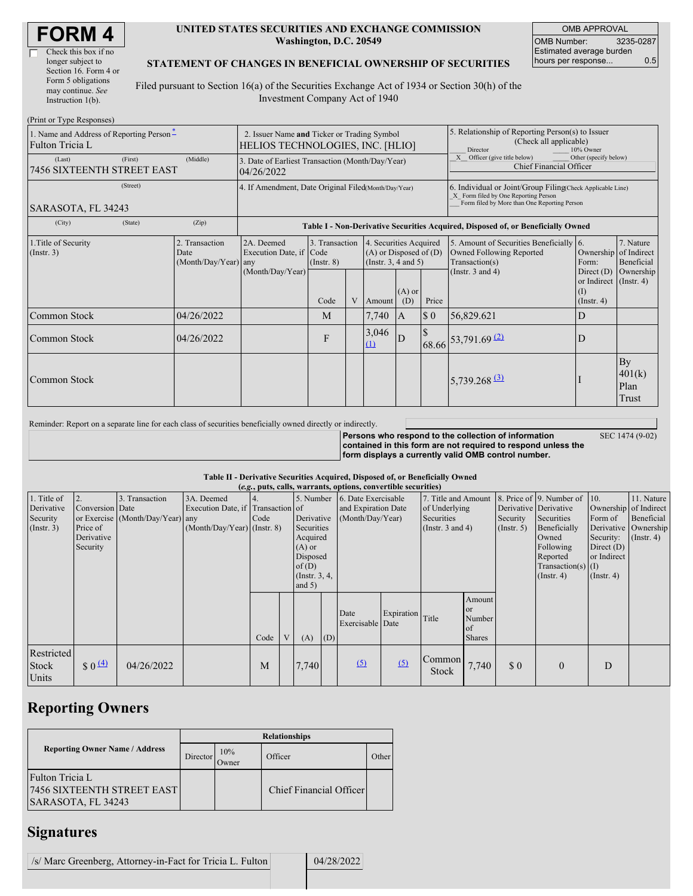| <b>FORM4</b> |  |
|--------------|--|
|--------------|--|

 $\Gamma$ 

| Check this box if no  |
|-----------------------|
| longer subject to     |
| Section 16. Form 4 or |
| Form 5 obligations    |
| may continue. See     |
| Instruction $1(b)$ .  |
|                       |

#### **UNITED STATES SECURITIES AND EXCHANGE COMMISSION Washington, D.C. 20549**

OMB APPROVAL OMB Number: 3235-0287 Estimated average burden hours per response... 0.5

#### **STATEMENT OF CHANGES IN BENEFICIAL OWNERSHIP OF SECURITIES**

Filed pursuant to Section 16(a) of the Securities Exchange Act of 1934 or Section 30(h) of the Investment Company Act of 1940

| (Print or Type Responses)                                   |                                                                                 |                                                                                  |                                   |   |                                                                                  |                                                                                                     |                                                                                                                                                    |                                                                                       |                                                                   |                               |  |
|-------------------------------------------------------------|---------------------------------------------------------------------------------|----------------------------------------------------------------------------------|-----------------------------------|---|----------------------------------------------------------------------------------|-----------------------------------------------------------------------------------------------------|----------------------------------------------------------------------------------------------------------------------------------------------------|---------------------------------------------------------------------------------------|-------------------------------------------------------------------|-------------------------------|--|
| 1. Name and Address of Reporting Person-<br>Fulton Tricia L | 2. Issuer Name and Ticker or Trading Symbol<br>HELIOS TECHNOLOGIES, INC. [HLIO] |                                                                                  |                                   |   |                                                                                  | 5. Relationship of Reporting Person(s) to Issuer<br>(Check all applicable)<br>Director<br>10% Owner |                                                                                                                                                    |                                                                                       |                                                                   |                               |  |
| (First)<br>(Last)<br>7456 SIXTEENTH STREET EAST             | (Middle)                                                                        | 3. Date of Earliest Transaction (Month/Day/Year)<br>04/26/2022                   |                                   |   |                                                                                  |                                                                                                     |                                                                                                                                                    | X Officer (give title below)<br>Other (specify below)<br>Chief Financial Officer      |                                                                   |                               |  |
| (Street)<br>SARASOTA, FL 34243                              | 4. If Amendment, Date Original Filed(Month/Day/Year)                            |                                                                                  |                                   |   |                                                                                  |                                                                                                     | 6. Individual or Joint/Group Filing Check Applicable Line)<br>X Form filed by One Reporting Person<br>Form filed by More than One Reporting Person |                                                                                       |                                                                   |                               |  |
| (City)<br>(State)                                           | (Zip)                                                                           | Table I - Non-Derivative Securities Acquired, Disposed of, or Beneficially Owned |                                   |   |                                                                                  |                                                                                                     |                                                                                                                                                    |                                                                                       |                                                                   |                               |  |
| 1. Title of Security<br>$($ Instr. 3)                       | 2. Transaction<br>Date<br>(Month/Day/Year) any                                  | 2A. Deemed<br>Execution Date, if Code<br>(Month/Day/Year)                        | 3. Transaction<br>$($ Instr. $8)$ |   | 4. Securities Acquired<br>$(A)$ or Disposed of $(D)$<br>(Instr. $3, 4$ and $5$ ) |                                                                                                     |                                                                                                                                                    | 5. Amount of Securities Beneficially 6.<br>Owned Following Reported<br>Transaction(s) | Ownership of Indirect<br>Form:                                    | 7. Nature<br>Beneficial       |  |
|                                                             |                                                                                 |                                                                                  | Code                              | V | Amount                                                                           | $(A)$ or<br>(D)                                                                                     | Price                                                                                                                                              | Tnstr. $3$ and $4$ )                                                                  | Direct $(D)$<br>or Indirect (Instr. 4)<br>(I)<br>$($ Instr. 4 $)$ | Ownership                     |  |
| Common Stock                                                | 04/26/2022                                                                      |                                                                                  | M                                 |   | 7,740                                                                            | <b>IA</b>                                                                                           | $\boldsymbol{\mathsf{S}}$ 0                                                                                                                        | 56,829.621                                                                            | D                                                                 |                               |  |
| Common Stock                                                | 04/26/2022                                                                      |                                                                                  | F                                 |   | 3,046<br>(1)                                                                     | D                                                                                                   |                                                                                                                                                    | $68.66$ <sup>53,791.69 (2)</sup>                                                      | D                                                                 |                               |  |
| Common Stock                                                |                                                                                 |                                                                                  |                                   |   |                                                                                  |                                                                                                     |                                                                                                                                                    | 5,739.268 $(3)$                                                                       |                                                                   | By<br>401(k)<br>Plan<br>Trust |  |

Reminder: Report on a separate line for each class of securities beneficially owned directly or indirectly.

**Persons who respond to the collection of information contained in this form are not required to respond unless the form displays a currently valid OMB control number.**

SEC 1474 (9-02)

**Table II - Derivative Securities Acquired, Disposed of, or Beneficially Owned**

|                                                           | (e.g., puts, calls, warrants, options, convertible securities) |                                                    |                                                                                  |      |   |                                                                                                                      |     |                                                                |                  |                                                                             |                                                |                              |                                                                                                                                                                   |                                                                                                  |                                                                      |
|-----------------------------------------------------------|----------------------------------------------------------------|----------------------------------------------------|----------------------------------------------------------------------------------|------|---|----------------------------------------------------------------------------------------------------------------------|-----|----------------------------------------------------------------|------------------|-----------------------------------------------------------------------------|------------------------------------------------|------------------------------|-------------------------------------------------------------------------------------------------------------------------------------------------------------------|--------------------------------------------------------------------------------------------------|----------------------------------------------------------------------|
| 1. Title of<br>Derivative<br>Security<br>$($ Instr. 3 $)$ | Conversion Date<br>Price of<br>Derivative<br>Security          | 3. Transaction<br>or Exercise (Month/Day/Year) any | 3A. Deemed<br>Execution Date, if Transaction of<br>$(Month/Day/Year)$ (Instr. 8) | Code |   | 5. Number<br>Derivative<br>Securities<br>Acquired<br>$(A)$ or<br>Disposed<br>of $(D)$<br>(Instr. $3, 4,$<br>and $5)$ |     | 6. Date Exercisable<br>and Expiration Date<br>(Month/Day/Year) |                  | 7. Title and Amount<br>of Underlying<br>Securities<br>(Instr. $3$ and $4$ ) |                                                | Security<br>$($ Instr. 5 $)$ | 8. Price of 9. Number of 10.<br>Derivative Derivative<br>Securities<br>Beneficially<br>Owned<br>Following<br>Reported<br>$Transaction(s)$ (I)<br>$($ Instr. 4 $)$ | Ownership of Indirect<br>Form of<br>Security:<br>Direct $(D)$<br>or Indirect<br>$($ Instr. 4 $)$ | 11. Nature<br>Beneficial<br>Derivative Ownership<br>$($ Instr. 4 $)$ |
|                                                           |                                                                |                                                    |                                                                                  | Code | V | (A)                                                                                                                  | (D) | Date<br>Exercisable Date                                       | Expiration Title |                                                                             | Amount<br>or.<br>Number<br>of<br><b>Shares</b> |                              |                                                                                                                                                                   |                                                                                                  |                                                                      |
| Restricted<br>Stock<br>Units                              | $\frac{1}{2}$ 0 $\frac{(4)}{4}$                                | 04/26/2022                                         |                                                                                  | M    |   | 7,740                                                                                                                |     | (5)                                                            | (5)              | Common<br><b>Stock</b>                                                      | 7,740                                          | \$0                          | $\Omega$                                                                                                                                                          | D                                                                                                |                                                                      |

# **Reporting Owners**

|                                                                     | <b>Relationships</b>  |              |                         |       |  |  |  |  |  |
|---------------------------------------------------------------------|-----------------------|--------------|-------------------------|-------|--|--|--|--|--|
| <b>Reporting Owner Name / Address</b>                               | Director <sup>'</sup> | 10%<br>Owner | Officer                 | Other |  |  |  |  |  |
| Fulton Tricia L<br>7456 SIXTEENTH STREET EAST<br>SARASOTA, FL 34243 |                       |              | Chief Financial Officer |       |  |  |  |  |  |

# **Signatures**

/s/ Marc Greenberg, Attorney-in-Fact for Tricia L. Fulton 04/28/2022